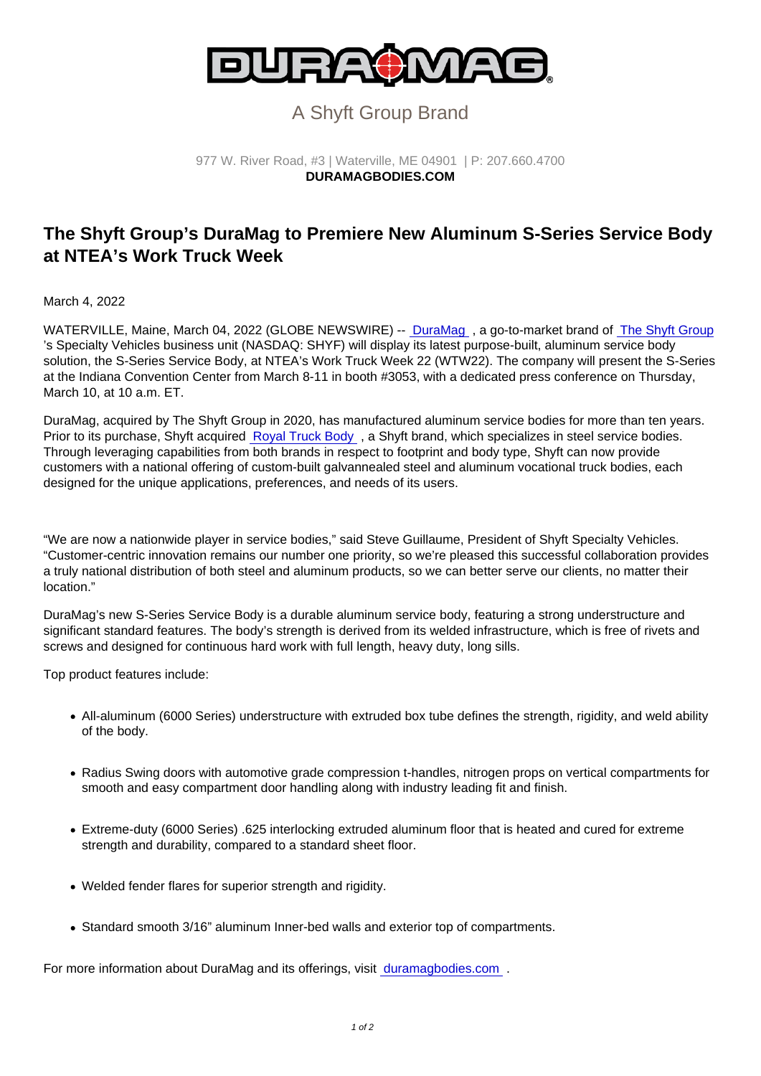# A Shyft Group Brand

#### 977 W. River Road, #3 | Waterville, ME 04901 | P: [207.660.4700](tel:+12076604700) DURAMAGBODIES.COM

## The Shyft Group's DuraMag to Premiere New Aluminum S-Series Service Body at NTEA's Work Truck Week

#### March 4, 2022

WATERVILLE, Maine, March 04, 2022 (GLOBE NEWSWIRE) -- DuraMag, a go-to-market brand of [The Shyft Group](https://www.globenewswire.com/Tracker?data=4bzeQfBfeRzcPgBR3fbxWnFpNZIMgLxD25dOSYqdwGgRRPgT4tCIHqmbgDDzoEH-n-xk9WnGVGfloGIaVre2QTo2NBCm5L-vQgcda1GTs7Y=) 's Specialty Vehicles business unit (NASDAQ: SHYF) will display its latest purpose-built, aluminum service body solution, the S-Series Service Body, at NTEA's Work Truck Week 22 (WTW22). The company will present the S-Series at the Indiana Convention Center from March 8-11 in booth #3053, with a dedicated press conference on Thursday, March 10, at 10 a.m. ET.

DuraMag, acquired by The Shyft Group in 2020, has manufactured aluminum service bodies for more than ten years. Prior to its purchase, Shyft acquired [Royal Truck Body](https://www.globenewswire.com/Tracker?data=bJOzVidTpF0PTO_E7GMgiUqulrM7-sPHoKMHgRzLlca4VH9VGLziyYpBxM3C_vqijZpsgd8SrdR16IBs9EvrEVba6DdOBvdzq_aR1JBuvzA=) , a Shyft brand, which specializes in steel service bodies. Through leveraging capabilities from both brands in respect to footprint and body type, Shyft can now provide customers with a national offering of custom-built galvannealed steel and aluminum vocational truck bodies, each designed for the unique applications, preferences, and needs of its users.

"We are now a nationwide player in service bodies," said Steve Guillaume, President of Shyft Specialty Vehicles. "Customer-centric innovation remains our number one priority, so we're pleased this successful collaboration provides a truly national distribution of both steel and aluminum products, so we can better serve our clients, no matter their location."

DuraMag's new S-Series Service Body is a durable aluminum service body, featuring a strong understructure and significant standard features. The body's strength is derived from its welded infrastructure, which is free of rivets and screws and designed for continuous hard work with full length, heavy duty, long sills.

Top product features include:

- All-aluminum (6000 Series) understructure with extruded box tube defines the strength, rigidity, and weld ability of the body.
- Radius Swing doors with automotive grade compression t-handles, nitrogen props on vertical compartments for smooth and easy compartment door handling along with industry leading fit and finish.
- Extreme-duty (6000 Series) .625 interlocking extruded aluminum floor that is heated and cured for extreme strength and durability, compared to a standard sheet floor.
- Welded fender flares for superior strength and rigidity.
- Standard smooth 3/16" aluminum Inner-bed walls and exterior top of compartments.

For more information about DuraMag and its offerings, visit [duramagbodies.com](https://www.globenewswire.com/Tracker?data=DdktZMwP9B2W4qlESIYqtmFf1NqpU1EZgO5hPZ0csGPFA7RhLDmAViHWQ1161AC5oXUQtpXcdXxahlzJLXUSv1xenkFzzMFjGjgHqasSf1pT4jOA9JFCxVXCiok8-kmHjztQqbRAyrXVvLpaa4mnbDLhz6ecYR8D81heNIHZVUmG0BBCmR_xywtAJvZHVZVV9moX91eTDdur1Y1wmqk1_18HxQOJkPdSIO77_sUwwx8=) .